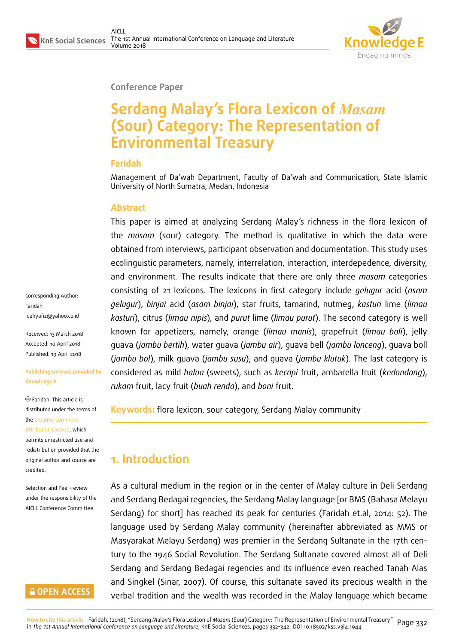

#### **Conference Paper**

# **Serdang Malay's Flora Lexicon of** *Masam* **(Sour) Category: The Representation of Environmental Treasury**

#### **Faridah**

Management of Da'wah Department, Faculty of Da'wah and Communication, State Islamic University of North Sumatra, Medan, Indonesia

#### **Abstract**

This paper is aimed at analyzing Serdang Malay's richness in the flora lexicon of the *masam* (sour) category. The method is qualitative in which the data were obtained from interviews, participant observation and documentation. This study uses ecolinguistic parameters, namely, interrelation, interaction, interdepedence, diversity, and environment. The results indicate that there are only three *masam* categories consisting of 21 lexicons. The lexicons in first category include *gelugur* acid (*asam gelugur*), *binjai* acid (*asam binjai*), star fruits, tamarind, nutmeg, *kasturi* lime (*limau kasturi*), citrus (*limau nipis*), and *purut* lime (*limau purut*). The second category is well known for appetizers, namely, orange (*limau manis*), grapefruit (*limau bali*), jelly guava (*jambu bertih*), water guava (*jambu air*), guava bell (*jambu lonceng*), guava boll (*jambu bol*), milk guava (*jambu susu*), and guava (*jambu klutuk*). The last category is considered as mild *halua* (sweets), such as *kecapi* fruit, ambarella fruit (*kedondong*), *rukam* fruit, lacy fruit (*buah renda*), and *boni* fruit.

**Keywords:** flora lexicon, sour category, Serdang Malay community

## **1. Introduction**

As a cultural medium in the region or in the center of Malay culture in Deli Serdang and Serdang Bedagai regencies, the Serdang Malay language [or BMS (Bahasa Melayu Serdang) for short] has reached its peak for centuries (Faridah et.al, 2014: 52). The language used by Serdang Malay community (hereinafter abbreviated as MMS or Masyarakat Melayu Serdang) was premier in the Serdang Sultanate in the 17th century to the 1946 Social Revolution. The Serdang Sultanate covered almost all of Deli Serdang and Serdang Bedagai regencies and its influence even reached Tanah Alas and Singkel (Sinar, 2007). Of course, this sultanate saved its precious wealth in the verbal tradition and the wealth was recorded in the Malay language which became

Corresponding Author: Faridah Idahyafiz@yahoo.co.id

Received: 13 March 2018 Accepted: 10 April 2018 [Published: 19 April 2018](mailto:Idahyafiz@yahoo.co.id)

#### **Publishing services provided by Knowledge E**

Faridah. This article is distributed under the terms of the Creative Commons Attribution License, which permits unrestricted use and redistribution provided that the ori[ginal author and sou](https://creativecommons.org/licenses/by/4.0/)rce are [credited.](https://creativecommons.org/licenses/by/4.0/)

Selection and Peer-review under the responsibility of the AICLL Conference Committee.

#### **GOPEN ACCESS**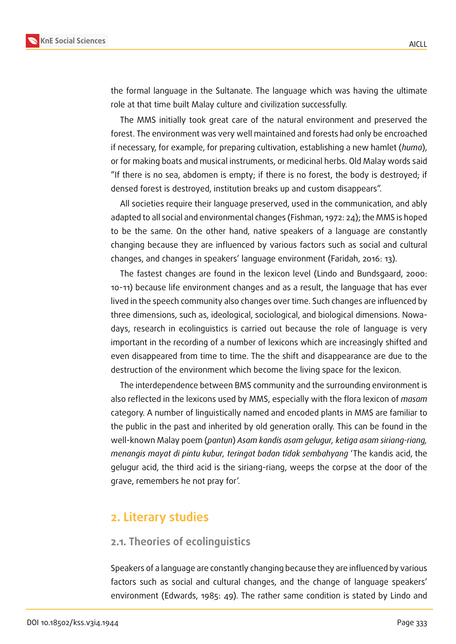

the formal language in the Sultanate. The language which was having the ultimate role at that time built Malay culture and civilization successfully.

The MMS initially took great care of the natural environment and preserved the forest. The environment was very well maintained and forests had only be encroached if necessary, for example, for preparing cultivation, establishing a new hamlet (*huma*), or for making boats and musical instruments, or medicinal herbs. Old Malay words said "If there is no sea, abdomen is empty; if there is no forest, the body is destroyed; if densed forest is destroyed, institution breaks up and custom disappears".

All societies require their language preserved, used in the communication, and ably adapted to all social and environmental changes (Fishman, 1972: 24); the MMS is hoped to be the same. On the other hand, native speakers of a language are constantly changing because they are influenced by various factors such as social and cultural changes, and changes in speakers' language environment (Faridah, 2016: 13).

The fastest changes are found in the lexicon level (Lindo and Bundsgaard, 2000: 10-11) because life environment changes and as a result, the language that has ever lived in the speech community also changes over time. Such changes are influenced by three dimensions, such as, ideological, sociological, and biological dimensions. Nowadays, research in ecolinguistics is carried out because the role of language is very important in the recording of a number of lexicons which are increasingly shifted and even disappeared from time to time. The the shift and disappearance are due to the destruction of the environment which become the living space for the lexicon.

The interdependence between BMS community and the surrounding environment is also reflected in the lexicons used by MMS, especially with the flora lexicon of *masam* category. A number of linguistically named and encoded plants in MMS are familiar to the public in the past and inherited by old generation orally. This can be found in the well-known Malay poem (*pantun*) *Asam kandis asam gelugur, ketiga asam siriang-riang, menangis mayat di pintu kubur, teringat badan tidak sembahyang* 'The kandis acid, the gelugur acid, the third acid is the siriang-riang, weeps the corpse at the door of the grave, remembers he not pray for'.

### **2. Literary studies**

#### **2.1. Theories of ecolinguistics**

Speakers of a language are constantly changing because they are influenced by various factors such as social and cultural changes, and the change of language speakers' environment (Edwards, 1985: 49). The rather same condition is stated by Lindo and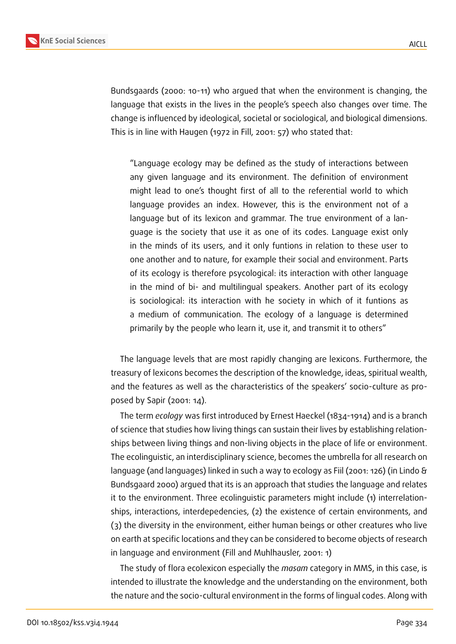

Bundsgaards (2000: 10-11) who argued that when the environment is changing, the language that exists in the lives in the people's speech also changes over time. The change is influenced by ideological, societal or sociological, and biological dimensions. This is in line with Haugen (1972 in Fill, 2001: 57) who stated that:

"Language ecology may be defined as the study of interactions between any given language and its environment. The definition of environment might lead to one's thought first of all to the referential world to which language provides an index. However, this is the environment not of a language but of its lexicon and grammar. The true environment of a language is the society that use it as one of its codes. Language exist only in the minds of its users, and it only funtions in relation to these user to one another and to nature, for example their social and environment. Parts of its ecology is therefore psycological: its interaction with other language in the mind of bi- and multilingual speakers. Another part of its ecology is sociological: its interaction with he society in which of it funtions as a medium of communication. The ecology of a language is determined primarily by the people who learn it, use it, and transmit it to others"

The language levels that are most rapidly changing are lexicons. Furthermore, the treasury of lexicons becomes the description of the knowledge, ideas, spiritual wealth, and the features as well as the characteristics of the speakers' socio-culture as proposed by Sapir (2001: 14).

The term *ecology* was first introduced by Ernest Haeckel (1834-1914) and is a branch of science that studies how living things can sustain their lives by establishing relationships between living things and non-living objects in the place of life or environment. The ecolinguistic, an interdisciplinary science, becomes the umbrella for all research on language (and languages) linked in such a way to ecology as Fiil (2001: 126) (in Lindo & Bundsgaard 2000) argued that its is an approach that studies the language and relates it to the environment. Three ecolinguistic parameters might include (1) interrelationships, interactions, interdepedencies, (2) the existence of certain environments, and (3) the diversity in the environment, either human beings or other creatures who live on earth at specific locations and they can be considered to become objects of research in language and environment (Fill and Muhlhausler, 2001: 1)

The study of flora ecolexicon especially the *masam* category in MMS, in this case, is intended to illustrate the knowledge and the understanding on the environment, both the nature and the socio-cultural environment in the forms of lingual codes. Along with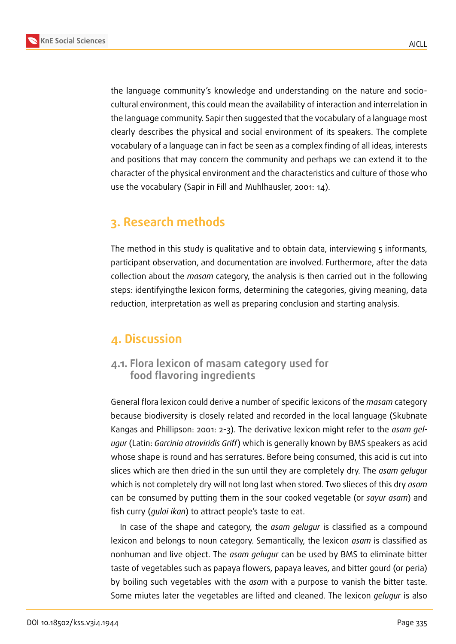

the language community's knowledge and understanding on the nature and sociocultural environment, this could mean the availability of interaction and interrelation in the language community. Sapir then suggested that the vocabulary of a language most clearly describes the physical and social environment of its speakers. The complete vocabulary of a language can in fact be seen as a complex finding of all ideas, interests and positions that may concern the community and perhaps we can extend it to the character of the physical environment and the characteristics and culture of those who use the vocabulary (Sapir in Fill and Muhlhausler, 2001: 14).

## **3. Research methods**

The method in this study is qualitative and to obtain data, interviewing 5 informants, participant observation, and documentation are involved. Furthermore, after the data collection about the *masam* category, the analysis is then carried out in the following steps: identifyingthe lexicon forms, determining the categories, giving meaning, data reduction, interpretation as well as preparing conclusion and starting analysis.

## **4. Discussion**

### **4.1. Flora lexicon of masam category used for food flavoring ingredients**

General flora lexicon could derive a number of specific lexicons of the *masam* category because biodiversity is closely related and recorded in the local language (Skubnate Kangas and Phillipson: 2001: 2-3). The derivative lexicon might refer to the *asam gelugur* (Latin: *Garcinia atroviridis Griff*) which is generally known by BMS speakers as acid whose shape is round and has serratures. Before being consumed, this acid is cut into slices which are then dried in the sun until they are completely dry. The *asam gelugur* which is not completely dry will not long last when stored. Two slieces of this dry *asam* can be consumed by putting them in the sour cooked vegetable (or *sayur asam*) and fish curry (*gulai ikan*) to attract people's taste to eat.

In case of the shape and category, the *asam gelugur* is classified as a compound lexicon and belongs to noun category. Semantically, the lexicon *asam* is classified as nonhuman and live object. The *asam gelugur* can be used by BMS to eliminate bitter taste of vegetables such as papaya flowers, papaya leaves, and bitter gourd (or peria) by boiling such vegetables with the *asam* with a purpose to vanish the bitter taste. Some miutes later the vegetables are lifted and cleaned. The lexicon *gelugur* is also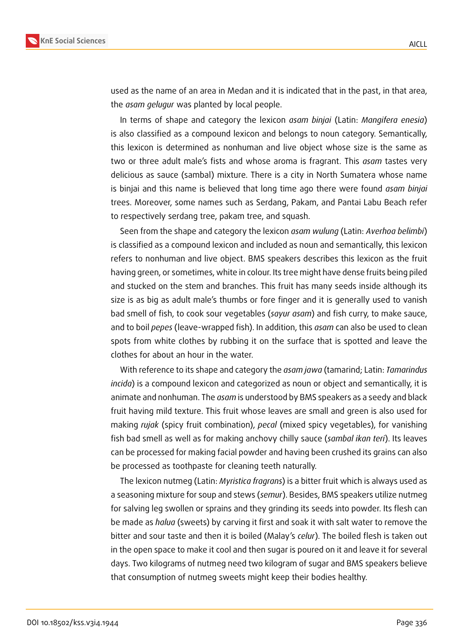

used as the name of an area in Medan and it is indicated that in the past, in that area, the *asam gelugur* was planted by local people.

In terms of shape and category the lexicon *asam binjai* (Latin: *Mangifera enesia*) is also classified as a compound lexicon and belongs to noun category. Semantically, this lexicon is determined as nonhuman and live object whose size is the same as two or three adult male's fists and whose aroma is fragrant. This *asam* tastes very delicious as sauce (sambal) mixture. There is a city in North Sumatera whose name is binjai and this name is believed that long time ago there were found *asam binjai* trees. Moreover, some names such as Serdang, Pakam, and Pantai Labu Beach refer to respectively serdang tree, pakam tree, and squash.

Seen from the shape and category the lexicon *asam wulung* (Latin: *Averhoa belimbi*) is classified as a compound lexicon and included as noun and semantically, this lexicon refers to nonhuman and live object. BMS speakers describes this lexicon as the fruit having green, or sometimes, white in colour. Its tree might have dense fruits being piled and stucked on the stem and branches. This fruit has many seeds inside although its size is as big as adult male's thumbs or fore finger and it is generally used to vanish bad smell of fish, to cook sour vegetables (*sayur asam*) and fish curry, to make sauce, and to boil *pepes* (leave-wrapped fish). In addition, this *asam* can also be used to clean spots from white clothes by rubbing it on the surface that is spotted and leave the clothes for about an hour in the water.

With reference to its shape and category the *asam jawa* (tamarind; Latin: *Tamarindus incida*) is a compound lexicon and categorized as noun or object and semantically, it is animate and nonhuman. The *asam* is understood by BMS speakers as a seedy and black fruit having mild texture. This fruit whose leaves are small and green is also used for making *rujak* (spicy fruit combination), *pecal* (mixed spicy vegetables), for vanishing fish bad smell as well as for making anchovy chilly sauce (*sambal ikan teri*). Its leaves can be processed for making facial powder and having been crushed its grains can also be processed as toothpaste for cleaning teeth naturally.

The lexicon nutmeg (Latin: *Myristica fragrans*) is a bitter fruit which is always used as a seasoning mixture for soup and stews (*semur*). Besides, BMS speakers utilize nutmeg for salving leg swollen or sprains and they grinding its seeds into powder. Its flesh can be made as *halua* (sweets) by carving it first and soak it with salt water to remove the bitter and sour taste and then it is boiled (Malay's *celur*). The boiled flesh is taken out in the open space to make it cool and then sugar is poured on it and leave it for several days. Two kilograms of nutmeg need two kilogram of sugar and BMS speakers believe that consumption of nutmeg sweets might keep their bodies healthy.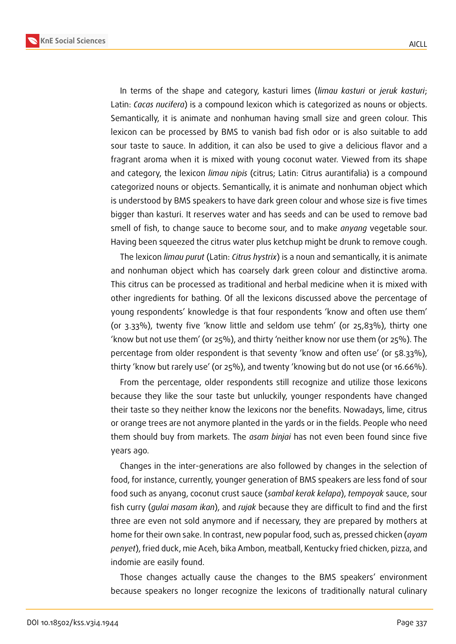

In terms of the shape and category, kasturi limes (*limau kasturi* or *jeruk kasturi*; Latin: *Cacas nucifera*) is a compound lexicon which is categorized as nouns or objects. Semantically, it is animate and nonhuman having small size and green colour. This lexicon can be processed by BMS to vanish bad fish odor or is also suitable to add sour taste to sauce. In addition, it can also be used to give a delicious flavor and a fragrant aroma when it is mixed with young coconut water. Viewed from its shape and category, the lexicon *limau nipis* (citrus; Latin: Citrus aurantifalia) is a compound categorized nouns or objects. Semantically, it is animate and nonhuman object which is understood by BMS speakers to have dark green colour and whose size is five times bigger than kasturi. It reserves water and has seeds and can be used to remove bad smell of fish, to change sauce to become sour, and to make *anyang* vegetable sour. Having been squeezed the citrus water plus ketchup might be drunk to remove cough.

The lexicon *limau purut* (Latin: *Citrus hystrix*) is a noun and semantically, it is animate and nonhuman object which has coarsely dark green colour and distinctive aroma. This citrus can be processed as traditional and herbal medicine when it is mixed with other ingredients for bathing. Of all the lexicons discussed above the percentage of young respondents' knowledge is that four respondents 'know and often use them' (or 3.33%), twenty five 'know little and seldom use tehm' (or 25,83%), thirty one 'know but not use them' (or 25%), and thirty 'neither know nor use them (or 25%). The percentage from older respondent is that seventy 'know and often use' (or 58.33%), thirty 'know but rarely use' (or 25%), and twenty 'knowing but do not use (or 16.66%).

From the percentage, older respondents still recognize and utilize those lexicons because they like the sour taste but unluckily, younger respondents have changed their taste so they neither know the lexicons nor the benefits. Nowadays, lime, citrus or orange trees are not anymore planted in the yards or in the fields. People who need them should buy from markets. The *asam binjai* has not even been found since five years ago.

Changes in the inter-generations are also followed by changes in the selection of food, for instance, currently, younger generation of BMS speakers are less fond of sour food such as anyang, coconut crust sauce (*sambal kerak kelapa*), *tempoyak* sauce, sour fish curry (*gulai masam ikan*), and *rujak* because they are difficult to find and the first three are even not sold anymore and if necessary, they are prepared by mothers at home for their own sake. In contrast, new popular food, such as, pressed chicken (*ayam penyet*), fried duck, mie Aceh, bika Ambon, meatball, Kentucky fried chicken, pizza, and indomie are easily found.

Those changes actually cause the changes to the BMS speakers' environment because speakers no longer recognize the lexicons of traditionally natural culinary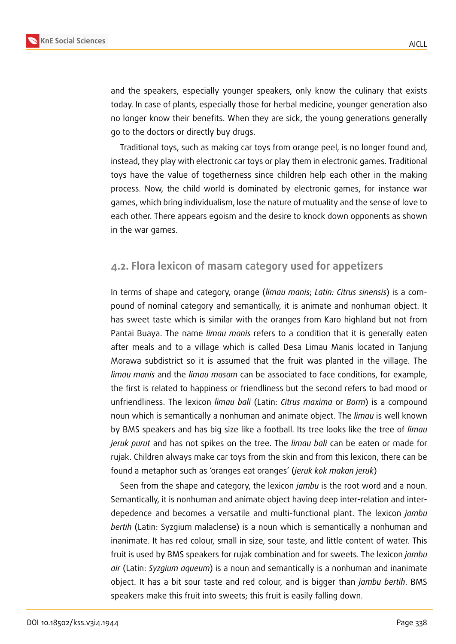

and the speakers, especially younger speakers, only know the culinary that exists today. In case of plants, especially those for herbal medicine, younger generation also no longer know their benefits. When they are sick, the young generations generally go to the doctors or directly buy drugs.

Traditional toys, such as making car toys from orange peel, is no longer found and, instead, they play with electronic car toys or play them in electronic games. Traditional toys have the value of togetherness since children help each other in the making process. Now, the child world is dominated by electronic games, for instance war games, which bring individualism, lose the nature of mutuality and the sense of love to each other. There appears egoism and the desire to knock down opponents as shown in the war games.

### **4.2. Flora lexicon of masam category used for appetizers**

In terms of shape and category, orange (*limau manis*; *Latin: Citrus sinensis*) is a compound of nominal category and semantically, it is animate and nonhuman object. It has sweet taste which is similar with the oranges from Karo highland but not from Pantai Buaya. The name *limau manis* refers to a condition that it is generally eaten after meals and to a village which is called Desa Limau Manis located in Tanjung Morawa subdistrict so it is assumed that the fruit was planted in the village. The *limau manis* and the *limau masam* can be associated to face conditions, for example, the first is related to happiness or friendliness but the second refers to bad mood or unfriendliness. The lexicon *limau bali* (Latin: *Citrus maxima* or *Borm*) is a compound noun which is semantically a nonhuman and animate object. The *limau* is well known by BMS speakers and has big size like a football. Its tree looks like the tree of *limau jeruk purut* and has not spikes on the tree. The *limau bali* can be eaten or made for rujak. Children always make car toys from the skin and from this lexicon, there can be found a metaphor such as 'oranges eat oranges' (*jeruk kok makan jeruk*)

Seen from the shape and category, the lexicon *jambu* is the root word and a noun. Semantically, it is nonhuman and animate object having deep inter-relation and interdepedence and becomes a versatile and multi-functional plant. The lexicon *jambu bertih* (Latin: Syzgium malaclense) is a noun which is semantically a nonhuman and inanimate. It has red colour, small in size, sour taste, and little content of water. This fruit is used by BMS speakers for rujak combination and for sweets. The lexicon *jambu air* (Latin: *Syzgium aqueum*) is a noun and semantically is a nonhuman and inanimate object. It has a bit sour taste and red colour, and is bigger than *jambu bertih*. BMS speakers make this fruit into sweets; this fruit is easily falling down.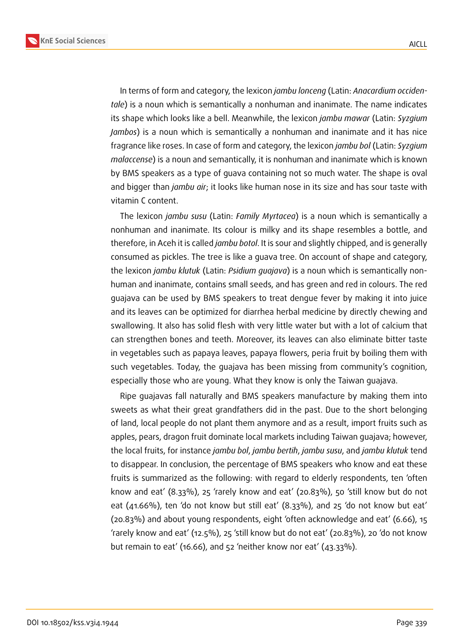**KnE Social Sciences**



In terms of form and category, the lexicon *jambu lonceng* (Latin: *Anacardium occidentale*) is a noun which is semantically a nonhuman and inanimate. The name indicates its shape which looks like a bell. Meanwhile, the lexicon *jambu mawar* (Latin: *Syzgium Jambos*) is a noun which is semantically a nonhuman and inanimate and it has nice fragrance like roses. In case of form and category, the lexicon *jambu bol* (Latin: *Syzgium malaccense*) is a noun and semantically, it is nonhuman and inanimate which is known by BMS speakers as a type of guava containing not so much water. The shape is oval and bigger than *jambu air*; it looks like human nose in its size and has sour taste with vitamin C content.

The lexicon *jambu susu* (Latin: *Family Myrtacea*) is a noun which is semantically a nonhuman and inanimate. Its colour is milky and its shape resembles a bottle, and therefore, in Aceh it is called *jambu botol*. It is sour and slightly chipped, and is generally consumed as pickles. The tree is like a guava tree. On account of shape and category, the lexicon *jambu klutuk* (Latin: *Psidium guajava*) is a noun which is semantically nonhuman and inanimate, contains small seeds, and has green and red in colours. The red guajava can be used by BMS speakers to treat dengue fever by making it into juice and its leaves can be optimized for diarrhea herbal medicine by directly chewing and swallowing. It also has solid flesh with very little water but with a lot of calcium that can strengthen bones and teeth. Moreover, its leaves can also eliminate bitter taste in vegetables such as papaya leaves, papaya flowers, peria fruit by boiling them with such vegetables. Today, the guajava has been missing from community's cognition, especially those who are young. What they know is only the Taiwan guajava.

Ripe guajavas fall naturally and BMS speakers manufacture by making them into sweets as what their great grandfathers did in the past. Due to the short belonging of land, local people do not plant them anymore and as a result, import fruits such as apples, pears, dragon fruit dominate local markets including Taiwan guajava; however, the local fruits, for instance *jambu bol*, *jambu bertih*, *jambu susu*, and *jambu klutuk* tend to disappear. In conclusion, the percentage of BMS speakers who know and eat these fruits is summarized as the following: with regard to elderly respondents, ten 'often know and eat' (8.33%), 25 'rarely know and eat' (20.83%), 50 'still know but do not eat (41.66%), ten 'do not know but still eat' (8.33%), and 25 'do not know but eat' (20.83%) and about young respondents, eight 'often acknowledge and eat' (6.66), 15 'rarely know and eat' (12.5%), 25 'still know but do not eat' (20.83%), 20 'do not know but remain to eat' (16.66), and 52 'neither know nor eat' (43.33%).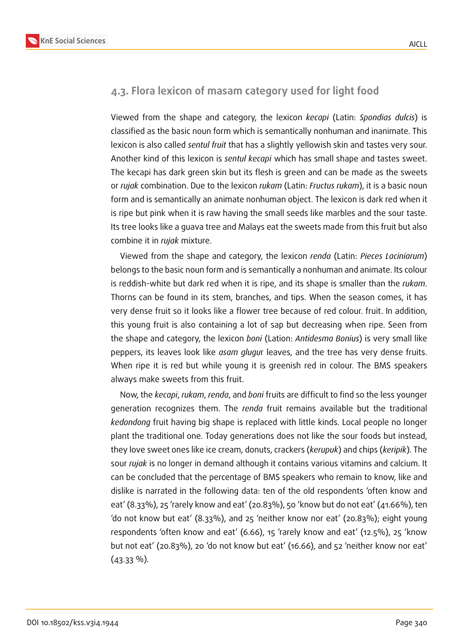

### **4.3. Flora lexicon of masam category used for light food**

Viewed from the shape and category, the lexicon *kecapi* (Latin: *Spondias dulcis*) is classified as the basic noun form which is semantically nonhuman and inanimate. This lexicon is also called *sentul fruit* that has a slightly yellowish skin and tastes very sour. Another kind of this lexicon is *sentul kecapi* which has small shape and tastes sweet. The kecapi has dark green skin but its flesh is green and can be made as the sweets or *rujak* combination. Due to the lexicon *rukam* (Latin: *Fructus rukam*), it is a basic noun form and is semantically an animate nonhuman object. The lexicon is dark red when it is ripe but pink when it is raw having the small seeds like marbles and the sour taste. Its tree looks like a guava tree and Malays eat the sweets made from this fruit but also combine it in *rujak* mixture.

Viewed from the shape and category, the lexicon *renda* (Latin: *Pieces Laciniarum*) belongs to the basic noun form and is semantically a nonhuman and animate. Its colour is reddish-white but dark red when it is ripe, and its shape is smaller than the *rukam*. Thorns can be found in its stem, branches, and tips. When the season comes, it has very dense fruit so it looks like a flower tree because of red colour. fruit. In addition, this young fruit is also containing a lot of sap but decreasing when ripe. Seen from the shape and category, the lexicon *boni* (Lation: *Antidesma Bonius*) is very small like peppers, its leaves look like *asam glugu*r leaves, and the tree has very dense fruits. When ripe it is red but while young it is greenish red in colour. The BMS speakers always make sweets from this fruit.

Now, the *kecapi*, *rukam*, *renda*, and *boni* fruits are difficult to find so the less younger generation recognizes them. The *renda* fruit remains available but the traditional *kedondong* fruit having big shape is replaced with little kinds. Local people no longer plant the traditional one. Today generations does not like the sour foods but instead, they love sweet ones like ice cream, donuts, crackers (*kerupuk*) and chips (*keripik*). The sour *rujak* is no longer in demand although it contains various vitamins and calcium. It can be concluded that the percentage of BMS speakers who remain to know, like and dislike is narrated in the following data: ten of the old respondents 'often know and eat' (8.33%), 25 'rarely know and eat' (20.83%), 50 'know but do not eat' (41.66%), ten 'do not know but eat' (8.33%), and 25 'neither know nor eat' (20.83%); eight young respondents 'often know and eat' (6.66), 15 'rarely know and eat' (12.5%), 25 'know but not eat' (20.83%), 20 'do not know but eat' (16.66), and 52 'neither know nor eat'  $(43.33\%).$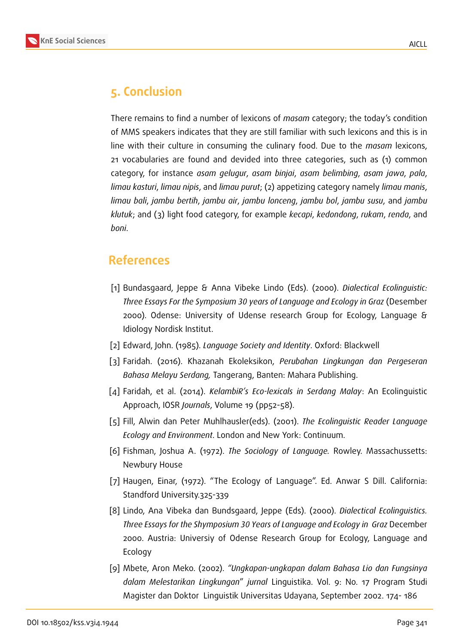

There remains to find a number of lexicons of *masam* category; the today's condition of MMS speakers indicates that they are still familiar with such lexicons and this is in line with their culture in consuming the culinary food. Due to the *masam* lexicons, 21 vocabularies are found and devided into three categories, such as (1) common category, for instance *asam gelugur*, *asam binjai*, *asam belimbing*, *asam jawa*, *pala*, *limau kasturi*, *limau nipis*, and *limau purut*; (2) appetizing category namely *limau manis*, *limau bali*, *jambu bertih*, *jambu air*, *jambu lonceng*, *jambu bol*, *jambu susu*, and *jambu klutuk*; and (3) light food category, for example *kecapi*, *kedondong*, *rukam*, *renda*, and *boni*.

## **References**

- [1] Bundasgaard, Jeppe & Anna Vibeke Lindo (Eds). (2000). *Dialectical Ecolinguistic: Three Essays For the Symposium 30 years of Language and Ecology in Graz* (Desember 2000). Odense: University of Udense research Group for Ecology, Language & Idiology Nordisk Institut.
- [2] Edward, John. (1985). *Language Society and Identity*. Oxford: Blackwell
- [3] Faridah. (2016). Khazanah Ekoleksikon, *Perubahan Lingkungan dan Pergeseran Bahasa Melayu Serdang,* Tangerang, Banten: Mahara Publishing.
- [4] Faridah, et al. (2014). *KelambiR's Eco-lexicals in Serdang Malay*: An Ecolinguistic Approach, IOSR *Journals*, Volume 19 (pp52-58).
- [5] Fill, Alwin dan Peter Muhlhausler(eds). (2001). *The Ecolinguistic Reader Language Ecology and Environment*. London and New York: Continuum.
- [6] Fishman, Joshua A. (1972). *The Sociology of Language.* Rowley. Massachussetts: Newbury House
- [7] Haugen, Einar, (1972). "The Ecology of Language". Ed. Anwar S Dill. California: Standford University.325-339
- [8] Lindo, Ana Vibeka dan Bundsgaard, Jeppe (Eds). (2000). *Dialectical Ecolinguistics. Three Essays for the Shymposium 30 Years of Language and Ecology in Graz* December 2000. Austria: Universiy of Odense Research Group for Ecology, Language and Ecology
- [9] Mbete, Aron Meko. (2002). *"Ungkapan-ungkapan dalam Bahasa Lio dan Fungsinya dalam Melestarikan Lingkungan*" *jurnal* Linguistika. Vol. 9: No. 17 Program Studi Magister dan Doktor Linguistik Universitas Udayana, September 2002. 174- 186